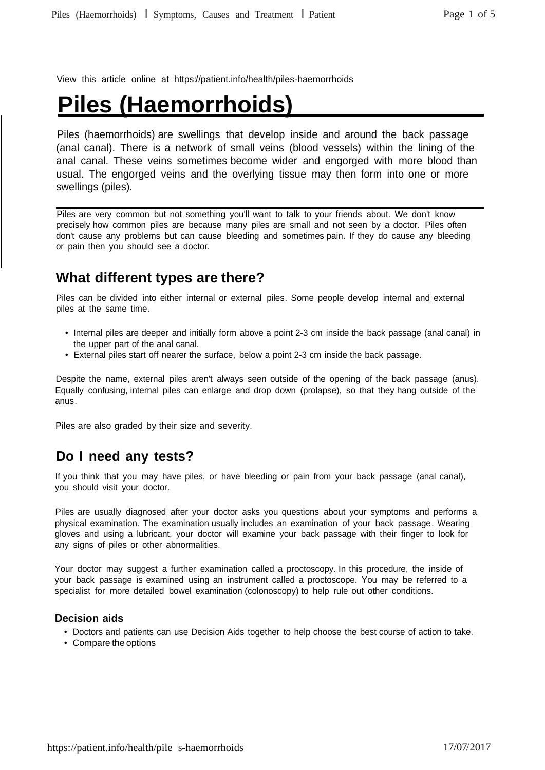View this article online at https://patient.info/health/piles-haemorrhoids

# **Piles (Haemorrhoids)**

Piles (haemorrhoids) are swellings that develop inside and around the back passage (anal canal). There is a network of small veins (blood vessels) within the lining of the anal canal. These veins sometimes become wider and engorged with more blood than usual. The engorged veins and the overlying tissue may then form into one or more swellings (piles).

Piles are very common but not something you'll want to talk to your friends about. We don't know precisely how common piles are because many piles are small and not seen by a doctor. Piles often don't cause any problems but can cause bleeding and sometimes pain. If they do cause any bleeding or pain then you should see a doctor.

# **What different types are there?**

Piles can be divided into either internal or external piles. Some people develop internal and external piles at the same time.

- Internal piles are deeper and initially form above a point 2-3 cm inside the back passage (anal canal) in the upper part of the anal canal.
- External piles start off nearer the surface, below a point 2-3 cm inside the back passage.

Despite the name, external piles aren't always seen outside of the opening of the back passage (anus). Equally confusing, internal piles can enlarge and drop down (prolapse), so that they hang outside of the anus.

Piles are also graded by their size and severity.

# **Do I need any tests?**

If you think that you may have piles, or have bleeding or pain from your back passage (anal canal), you should visit your doctor.

Piles are usually diagnosed after your doctor asks you questions about your symptoms and performs a physical examination. The examination usually includes an examination of your back passage. Wearing gloves and using a lubricant, your doctor will examine your back passage with their finger to look for any signs of piles or other abnormalities.

Your doctor may suggest a further examination called a proctoscopy. In this procedure, the inside of your back passage is examined using an instrument called a proctoscope. You may be referred to a specialist for more detailed bowel examination (colonoscopy) to help rule out other conditions.

#### **Decision aids**

- Doctors and patients can use Decision Aids together to help choose the best course of action to take.
- Compare the options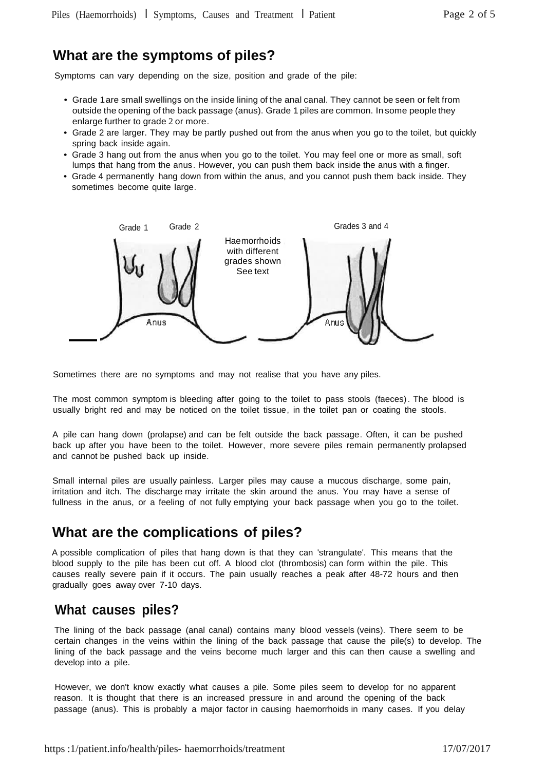### **What are the symptoms of piles?**

Symptoms can vary depending on the size, position and grade of the pile:

- Grade 1are small swellings on the inside lining of the anal canal. They cannot be seen or felt from outside the opening of the back passage (anus). Grade 1 piles are common. In some people they enlarge further to grade 2 or more.
- Grade 2 are larger. They may be partly pushed out from the anus when you go to the toilet, but quickly spring back inside again.
- Grade 3 hang out from the anus when you go to the toilet. You may feel one or more as small, soft lumps that hang from the anus. However, you can push them back inside the anus with a finger.
- Grade 4 permanently hang down from within the anus, and you cannot push them back inside. They sometimes become quite large.



Sometimes there are no symptoms and may not realise that you have any piles.

The most common symptom is bleeding after going to the toilet to pass stools (faeces). The blood is usually bright red and may be noticed on the toilet tissue, in the toilet pan or coating the stools.

A pile can hang down (prolapse) and can be felt outside the back passage. Often, it can be pushed back up after you have been to the toilet. However, more severe piles remain permanently prolapsed and cannot be pushed back up inside.

Small internal piles are usually painless. Larger piles may cause a mucous discharge, some pain, irritation and itch. The discharge may irritate the skin around the anus. You may have a sense of fullness in the anus, or a feeling of not fully emptying your back passage when you go to the toilet.

# **What are the complications of piles?**

A possible complication of piles that hang down is that they can 'strangulate'. This means that the blood supply to the pile has been cut off. A blood clot (thrombosis) can form within the pile. This causes really severe pain if it occurs. The pain usually reaches a peak after 48-72 hours and then gradually goes away over 7-10 days.

### **What causes piles?**

The lining of the back passage (anal canal) contains many blood vessels (veins). There seem to be certain changes in the veins within the lining of the back passage that cause the pile(s) to develop. The lining of the back passage and the veins become much larger and this can then cause a swelling and develop into a pile.

However, we don't know exactly what causes a pile. Some piles seem to develop for no apparent reason. It is thought that there is an increased pressure in and around the opening of the back passage (anus). This is probably a major factor in causing haemorrhoids in many cases. If you delay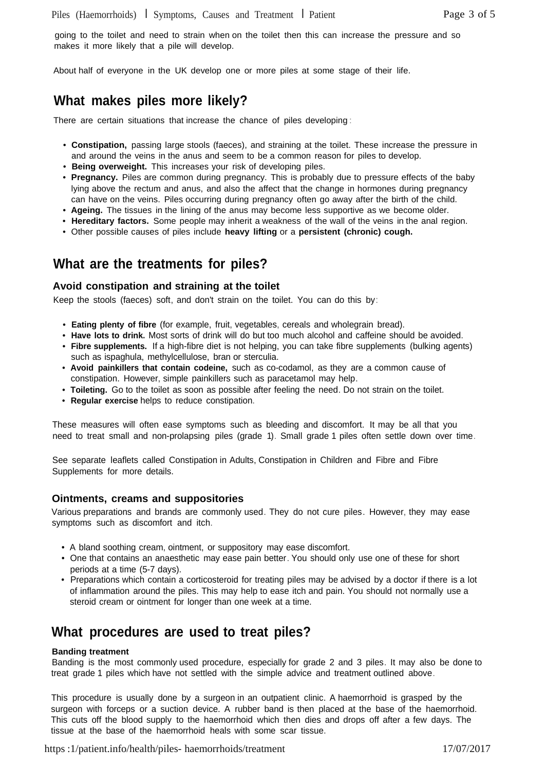going to the toilet and need to strain when on the toilet then this can increase the pressure and so makes it more likely that a pile will develop.

About half of everyone in the UK develop one or more piles at some stage of their life.

# **What makes piles more likely?**

There are certain situations that increase the chance of piles developing :

- **Constipation,** passing large stools (faeces), and straining at the toilet. These increase the pressure in and around the veins in the anus and seem to be a common reason for piles to develop.
- **Being overweight.** This increases your risk of developing piles.
- **Pregnancy.** Piles are common during pregnancy. This is probably due to pressure effects of the baby lying above the rectum and anus, and also the affect that the change in hormones during pregnancy can have on the veins. Piles occurring during pregnancy often go away after the birth of the child.
- **Ageing.** The tissues in the lining of the anus may become less supportive as we become older.
- **Hereditary factors.** Some people may inherit a weakness of the wall of the veins in the anal region.
- Other possible causes of piles include **heavy lifting** or a **persistent (chronic) cough.**

### **What are the treatments for piles?**

#### **Avoid constipation and straining at the toilet**

Keep the stools (faeces) soft, and don't strain on the toilet. You can do this by:

- **Eating plenty of fibre** (for example, fruit, vegetables, cereals and wholegrain bread).
- **Have lots to drink.** Most sorts of drink will do but too much alcohol and caffeine should be avoided.
- **Fibre supplements.** If a high-fibre diet is not helping, you can take fibre supplements (bulking agents) such as ispaghula, methylcellulose, bran or sterculia.
- **Avoid painkillers that contain codeine,** such as co-codamol, as they are a common cause of constipation. However, simple painkillers such as paracetamol may help.
- **Toileting.** Go to the toilet as soon as possible after feeling the need. Do not strain on the toilet.
- **Regular exercise** helps to reduce constipation.

These measures will often ease symptoms such as bleeding and discomfort. It may be all that you need to treat small and non-prolapsing piles (grade 1). Small grade 1 piles often settle down over time.

See separate leaflets called Constipation in Adults, Constipation in Children and Fibre and Fibre Supplements for more details.

#### **Ointments, creams and suppositories**

Various preparations and brands are commonly used. They do not cure piles. However, they may ease symptoms such as discomfort and itch.

- A bland soothing cream, ointment, or suppository may ease discomfort.
- One that contains an anaesthetic may ease pain better. You should only use one of these for short periods at a time (5-7 days).
- Preparations which contain a corticosteroid for treating piles may be advised by a doctor if there is a lot of inflammation around the piles. This may help to ease itch and pain. You should not normally use a steroid cream or ointment for longer than one week at a time.

### **What procedures are used to treat piles?**

#### **Banding treatment**

Banding is the most commonly used procedure, especially for grade 2 and 3 piles. It may also be done to treat grade 1 piles which have not settled with the simple advice and treatment outlined above.

This procedure is usually done by a surgeon in an outpatient clinic. A haemorrhoid is grasped by the surgeon with forceps or a suction device. A rubber band is then placed at the base of the haemorrhoid. This cuts off the blood supply to the haemorrhoid which then dies and drops off after a few days. The tissue at the base of the haemorrhoid heals with some scar tissue.

https :1/patient.info/health/piles- haemorrhoids/treatment 17/07/2017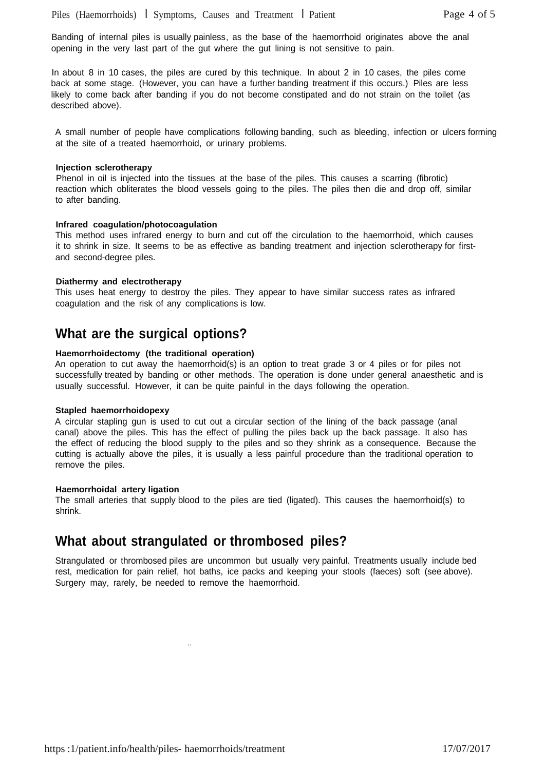Banding of internal piles is usually painless, as the base of the haemorrhoid originates above the anal opening in the very last part of the gut where the gut lining is not sensitive to pain.

In about 8 in 10 cases, the piles are cured by this technique. In about 2 in 10 cases, the piles come back at some stage. (However, you can have a further banding treatment if this occurs.) Piles are less likely to come back after banding if you do not become constipated and do not strain on the toilet (as described above).

A small number of people have complications following banding, such as bleeding, infection or ulcers forming at the site of a treated haemorrhoid, or urinary problems.

#### **Injection sclerotherapy**

Phenol in oil is injected into the tissues at the base of the piles. This causes a scarring (fibrotic) reaction which obliterates the blood vessels going to the piles. The piles then die and drop off, similar to after banding.

#### **Infrared coagulation/photocoagulation**

This method uses infrared energy to burn and cut off the circulation to the haemorrhoid, which causes it to shrink in size. It seems to be as effective as banding treatment and injection sclerotherapy for firstand second-degree piles.

#### **Diathermy and electrotherapy**

This uses heat energy to destroy the piles. They appear to have similar success rates as infrared coagulation and the risk of any complications is low.

### **What are the surgical options?**

#### **Haemorrhoidectomy (the traditional operation)**

An operation to cut away the haemorrhoid(s) is an option to treat grade 3 or 4 piles or for piles not successfully treated by banding or other methods. The operation is done under general anaesthetic and is usually successful. However, it can be quite painful in the days following the operation.

#### **Stapled haemorrhoidopexy**

A circular stapling gun is used to cut out a circular section of the lining of the back passage (anal canal) above the piles. This has the effect of pulling the piles back up the back passage. It also has the effect of reducing the blood supply to the piles and so they shrink as a consequence. Because the cutting is actually above the piles, it is usually a less painful procedure than the traditional operation to remove the piles.

#### **Haemorrhoidal artery ligation**

The small arteries that supply blood to the piles are tied (ligated). This causes the haemorrhoid(s) to shrink.

### **What about strangulated or thrombosed piles?**

"

Strangulated or thrombosed piles are uncommon but usually very painful. Treatments usually include bed rest, medication for pain relief, hot baths, ice packs and keeping your stools (faeces) soft (see above). Surgery may, rarely, be needed to remove the haemorrhoid.